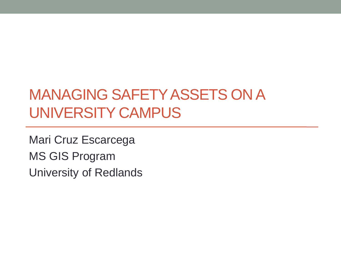### MANAGING SAFETY ASSETS ON A UNIVERSITY CAMPUS

Mari Cruz Escarcega MS GIS Program University of Redlands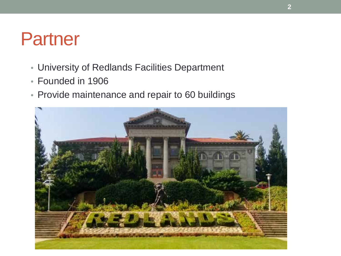### Partner

- University of Redlands Facilities Department
- Founded in 1906
- Provide maintenance and repair to 60 buildings

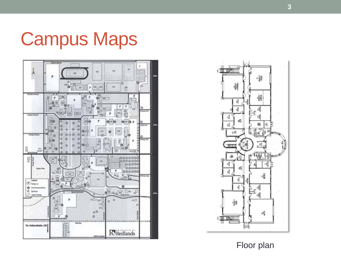### Campus Maps





Floor plan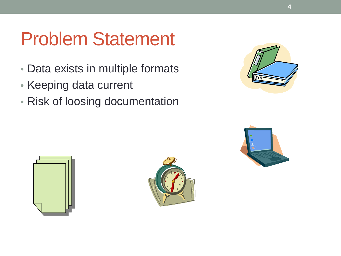### Problem Statement

- Data exists in multiple formats
- Keeping data current
- Risk of loosing documentation







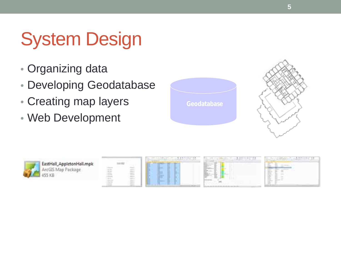## System Design

- Organizing data
- Developing Geodatabase
- Creating map layers
- Web Development







|                   | <b>STATE</b><br>$- - - -$ | AND RESIDENCE OF A REPORT OF                                                                   |
|-------------------|---------------------------|------------------------------------------------------------------------------------------------|
|                   |                           | the the state of the control of the                                                            |
| ē<br>Ξ<br>E.<br>_ | <b>COLOR</b>              | <br><b>STATE AND STATE OF STATE</b><br>2. 2.45 and 1980 the state state state state that the c |

|   |   |                          |   | <b>Service Control</b> | ÷ |
|---|---|--------------------------|---|------------------------|---|
|   |   |                          |   |                        |   |
|   |   |                          |   |                        |   |
|   |   | $\overline{\phantom{a}}$ | ٠ |                        |   |
| w |   |                          |   |                        |   |
| ٠ |   | ×                        |   |                        |   |
|   |   |                          |   |                        |   |
|   | w |                          |   |                        |   |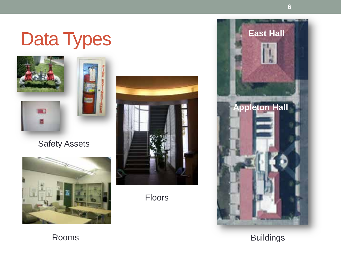## Data Types









Floors



Buildings

Rooms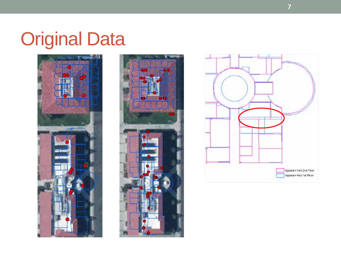## Original Data





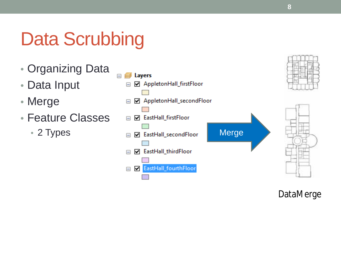## Data Scrubbing

- Organizing Data
- Data Input
- Merge
- Feature Classes
	- 2 Types



DataMerge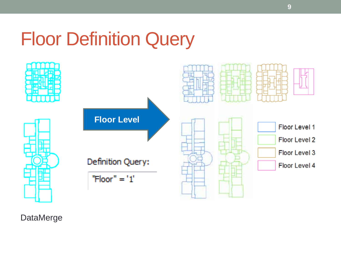### Floor Definition Query



DataMerge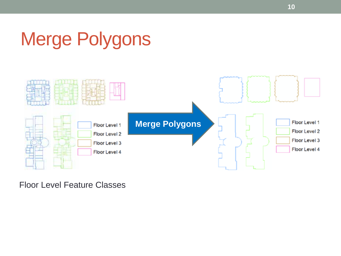### Merge Polygons



Floor Level Feature Classes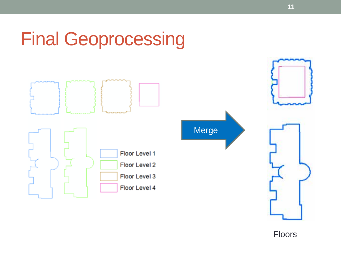### Final Geoprocessing







**11**

Floors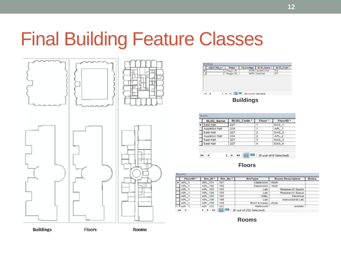### Final Building Feature Classes





**Buildings**

| <b>BLDG</b><br>Marroe |                   |   |       |
|-----------------------|-------------------|---|-------|
|                       | $-1 - 1 - 1$<br>× | ٠ | EAS 1 |
|                       |                   | ۱ |       |
|                       | 221               |   | EAS.  |
|                       |                   |   |       |
| ALC: UNK              | 227               |   |       |
|                       | 227               |   |       |

**Floors**

|   | <b><i>SHARRY</i></b> | m                |     | Ben Type                 | The surgicidity's |  |
|---|----------------------|------------------|-----|--------------------------|-------------------|--|
| ٠ | $AF = 1$             | APL 101          | 101 | Classroom                | <tout></tout>     |  |
|   | APL T                | APL: 102         | 102 | 88/10/8                  | - Noath           |  |
|   | AR_1                 | APL: 103         | 103 | Liib                     | Reasearch Souce   |  |
|   | APL 1                | APL 104          | 104 | Latr                     | Ressearch Spece   |  |
|   | $APL - 1$            | APL 105          | 105 | Utility                  | Flechrical        |  |
|   | APL.<br>$\mathbf{r}$ | APL 108          | 108 | LBD.                     | midructional Lab  |  |
|   | APC.                 | APL 508          | 108 | <b>Bant America</b>      |                   |  |
|   | Lam.                 | <b>BBY</b><br>AR | 307 | <b><i>Haffyindum</i></b> | <b>INVERSED</b>   |  |

**Rooms**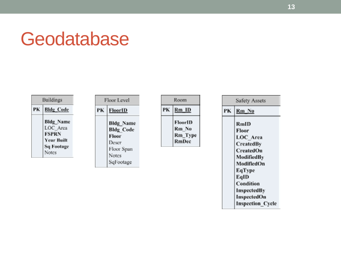### **Geodatabase**

|    | <b>Buildings</b>                                                                                |    | Floor Level                                                                                |    | Room                                        |    | Safety Assets                                                                                                                        |
|----|-------------------------------------------------------------------------------------------------|----|--------------------------------------------------------------------------------------------|----|---------------------------------------------|----|--------------------------------------------------------------------------------------------------------------------------------------|
| PK | <b>Bldg Code</b>                                                                                | PK | FloorID                                                                                    | PK | Rm ID                                       | PK | Rm No                                                                                                                                |
|    | <b>Bldg_Name</b><br>LOC Area<br><b>FSPRN</b><br><b>Year Built</b><br><b>Sq Footage</b><br>Notes |    | <b>Bldg</b> Name<br><b>Bldg Code</b><br>Floor<br>Descr<br>Floor Span<br>Notes<br>SqFootage |    | <b>FloorID</b><br>Rm No<br>Rm_Type<br>RmDec |    | <b>RmID</b><br>Floor<br>LOC Area<br>CreatedBy<br>CreatedOn<br>ModifiedBy<br>ModifiedOn<br>EqType<br>EqID<br>Condition<br>InspectedBy |

InspectedOn Inspection\_Cycle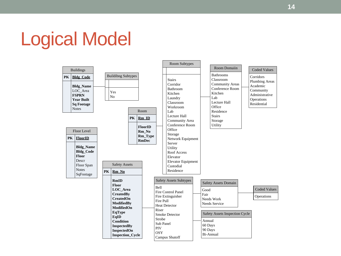### Logical Model

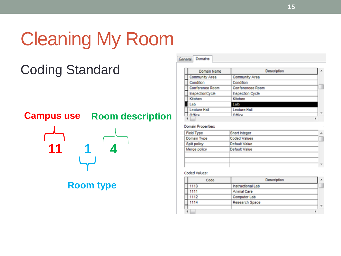## Cleaning My Room

### Coding Standard

### **Campus use Room description**



**Room type**

| Domain Name     | Description         |  |
|-----------------|---------------------|--|
| Community Area  | Community Area      |  |
| Condition       | Condition           |  |
| Conference Room | Conferencee Room    |  |
| InspectionCycle | Inspection Cycle    |  |
| Kitchen         | Kitchen             |  |
| Lab             | Lalb                |  |
| Lecture Hall    | <b>Lecture Hall</b> |  |
| Office          | Office              |  |

### Domain Properties:

**Concrete Domains** 

| <b>Field Type</b> | Short Integer       |  |
|-------------------|---------------------|--|
| Domain Type       | <b>Coded Values</b> |  |
| Split policy      | Default Value       |  |
| Merge policy      | Default Value       |  |
|                   |                     |  |
|                   |                     |  |
|                   |                     |  |

### Coded Values:

| Code | <b>Description</b> | A |
|------|--------------------|---|
| 1113 | Instructional Lab  |   |
| 1111 | <b>Animal Care</b> |   |
| 1112 | Computer Lab       |   |
| 1114 | Research Space     |   |
|      |                    |   |
|      |                    |   |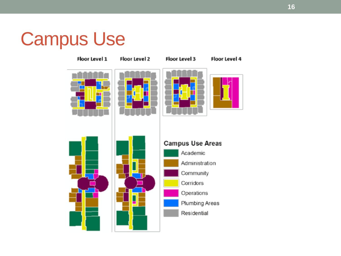### Campus Use

Floor Level 1

### Floor Level 2

Floor Level 3

Floor Level 4

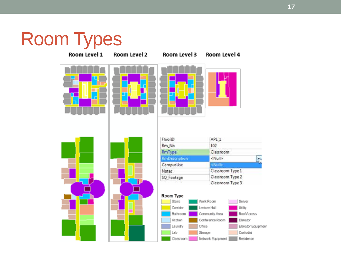# Room Types

Room Level 1 Room Level 2 Room Level 3 Room Level 4 APL<sub>1</sub> FloorID Rm No 102 RmType Classroom **RmDescription** <Null> CampusUse <Nulla Classroom Type 1 Notes Classroom Type 2 SQ Footage Classroom Type 3 Room Type Stairs Work Room Server Corridor Lecture Hall Utility Roof Access Bathroom Community Area Conference Room Elevator Ktchen Elevator Equipment Office Laundry Lab Storage Custodial Classroom Network Equipment Residence

T.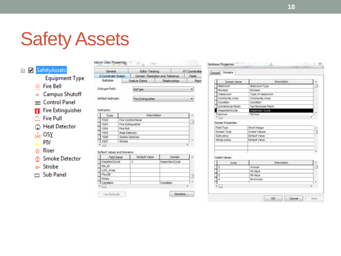### **Safety Assets**

### SafetyAssets  $\Box$

**Equipment Type** 

- $\oplus$  Fire Bell
- w Campus Shutoff
- nan Control Panel
- Fire Extinguisher
- □. Fire Pull
- **ID** Heat Detector
- $\frac{1}{24}$  OSY
- $\downarrow$  PIV
- **®** Riser
- 2 Smoke Detector
- m<sub>s</sub> Strobe
- $\Box$  Sub Panel

| ature Class Properties: |                   |                                  |            |  |
|-------------------------|-------------------|----------------------------------|------------|--|
| General                 | Editor Tracking   |                                  | Coordinate |  |
| Z Coordinate System     |                   | Domain, Resolution and Tolerance |            |  |
| Subtypes                | Feature Extent    | <b>Flelationships</b>            |            |  |
| Subtype Field:          | laType            |                                  |            |  |
| lefault Subtype:        | Fire Extinguisher |                                  |            |  |
|                         |                   |                                  |            |  |

### Subtypes:

| Heat Detector  |  |
|----------------|--|
| Smoke Detector |  |
| Strobe         |  |
|                |  |

### Default Values and Domains:

| Field Name         | <b>Defeuil Value</b> | Doma           |
|--------------------|----------------------|----------------|
| <b>Bananet Tax</b> |                      | cerman         |
|                    |                      |                |
|                    |                      |                |
|                    |                      |                |
| <b>1.mm</b>        |                      |                |
| ndtion             |                      | Candidan:      |
|                    |                      |                |
| Lise Defaults      |                      | <b>Millery</b> |

| Description<br>Battypom Type |                                                       |
|------------------------------|-------------------------------------------------------|
|                              |                                                       |
| <b>Bookean</b>               |                                                       |
| Type of classroom            |                                                       |
|                              |                                                       |
| Condition                    |                                                       |
|                              |                                                       |
|                              |                                                       |
| <b>Witnisson</b>             |                                                       |
|                              |                                                       |
|                              |                                                       |
| Short Integer                |                                                       |
| Coded Values                 |                                                       |
| Default Value                |                                                       |
| Default Value                |                                                       |
|                              |                                                       |
|                              |                                                       |
|                              |                                                       |
|                              |                                                       |
| Description                  |                                                       |
| Annual                       |                                                       |
| 60 days                      |                                                       |
| 90 days                      |                                                       |
|                              |                                                       |
| Bi-Annual                    |                                                       |
|                              | Community Area<br>Conferencee Room<br>mapection Cycle |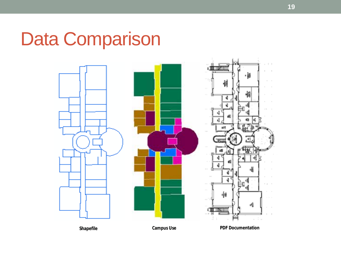### Data Comparison

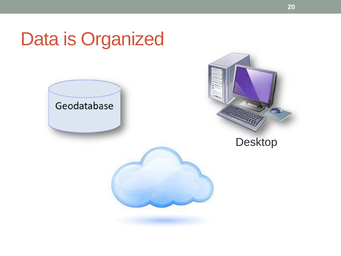### Data is Organized

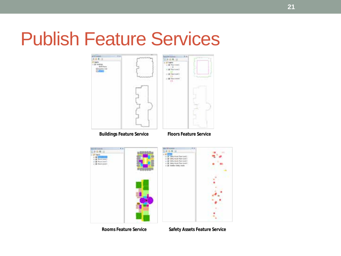### Publish Feature Services



**Rooms Feature Service Safety Assets Feature Service**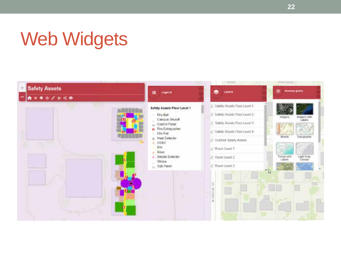### Web Widgets

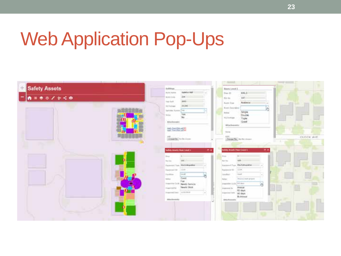### Web Application Pop-Ups

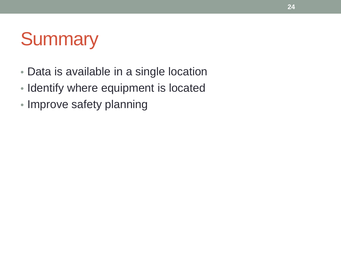### **Summary**

- Data is available in a single location
- Identify where equipment is located
- Improve safety planning